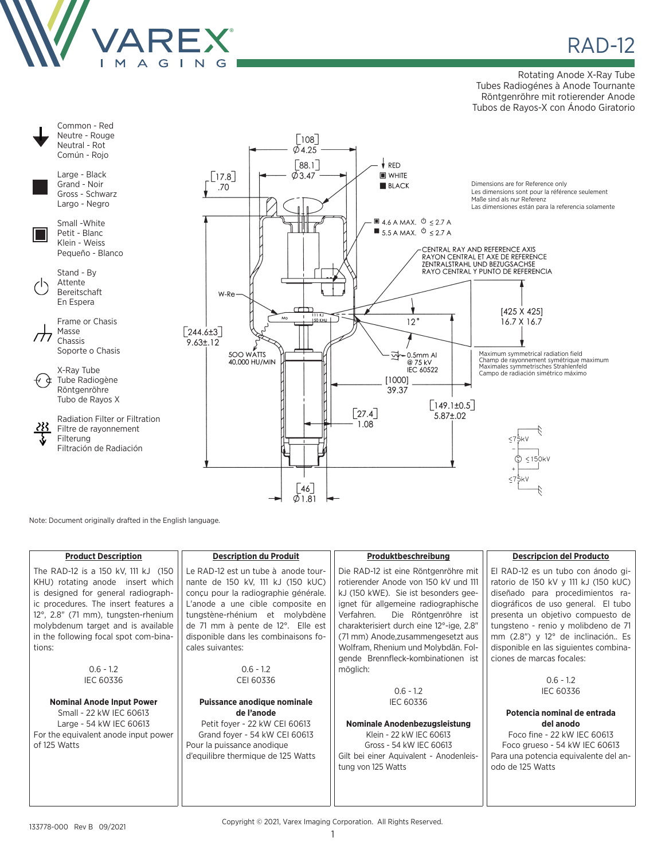

## **RAD-12**

Rotating Anode X-Ray Tube Tubes Radiogénes à Anode Tournante Röntgenröhre mit rotierender Anode Tubos de Rayos-X con Ánodo Giratorio



Note: Document originally drafted in the English language.

| <b>Product Description</b>            | <b>Description du Produit</b>        | Produktbeschreibung                      | <b>Descripcion del Producto</b>       |
|---------------------------------------|--------------------------------------|------------------------------------------|---------------------------------------|
| The RAD-12 is a 150 kV, 111 kJ (150   | Le RAD-12 est un tube à anode tour-  | Die RAD-12 ist eine Röntgenröhre mit     | El RAD-12 es un tubo con ánodo gi-    |
| KHU) rotating anode insert which      | nante de 150 kV, 111 kJ (150 kUC)    | rotierender Anode von 150 kV und 111     | ratorio de 150 kV y 111 kJ (150 kUC)  |
| is designed for general radiograph-   | conçu pour la radiographie générale. | kJ (150 kWE). Sie ist besonders gee-     | diseñado para procedimientos ra-      |
| ic procedures. The insert features a  | L'anode a une cible composite en     | ignet für allgemeine radiographische     | diográficos de uso general. El tubo   |
| 12°, 2.8" (71 mm), tungsten-rhenium   | tungstène-rhénium et molybdène       | Die Röntgenröhre ist<br>Verfahren.       | presenta un objetivo compuesto de     |
| molybdenum target and is available    | de 71 mm à pente de 12°. Elle est    | charakterisiert durch eine 12°-ige, 2.8" | tungsteno - renio y molibdeno de 71   |
| in the following focal spot com-bina- | disponible dans les combinaisons fo- | (71 mm) Anode, zusammengesetzt aus       | mm (2.8") y 12° de inclinación Es     |
| tions:                                | cales suivantes:                     | Wolfram, Rhenium und Molybdän. Fol-      | disponible en las siguientes combina- |
|                                       |                                      | gende Brennfleck-kombinationen ist       | ciones de marcas focales:             |
| $0.6 - 1.2$                           | $0.6 - 1.2$                          | möglich:                                 |                                       |
| <b>IEC 60336</b>                      | CEI 60336                            |                                          | $0.6 - 1.2$                           |
|                                       |                                      | $0.6 - 1.2$                              | <b>IEC 60336</b>                      |
| <b>Nominal Anode Input Power</b>      | Puissance anodique nominale          | IEC 60336                                |                                       |
| Small - 22 kW IEC 60613               | de l'anode                           |                                          | Potencia nominal de entrada           |
| Large - 54 kW IEC 60613               | Petit foyer - 22 kW CEI 60613        | Nominale Anodenbezugsleistung            | del anodo                             |
| For the equivalent anode input power  | Grand foyer - 54 kW CEI 60613        | Klein - 22 kW IEC 60613                  | Foco fine - 22 kW IEC 60613           |
| of 125 Watts                          | Pour la puissance anodique           | Gross - 54 kW IEC 60613                  | Foco grueso - 54 kW IEC 60613         |
|                                       | d'equilibre thermique de 125 Watts   | Gilt bei einer Aquivalent - Anodenleis-  | Para una potencia equivalente del an- |
|                                       |                                      | tung von 125 Watts                       | odo de 125 Watts                      |
|                                       |                                      |                                          |                                       |
|                                       |                                      |                                          |                                       |
|                                       |                                      |                                          |                                       |

Copyright © 2021, Varex Imaging Corporation. All Rights Reserved.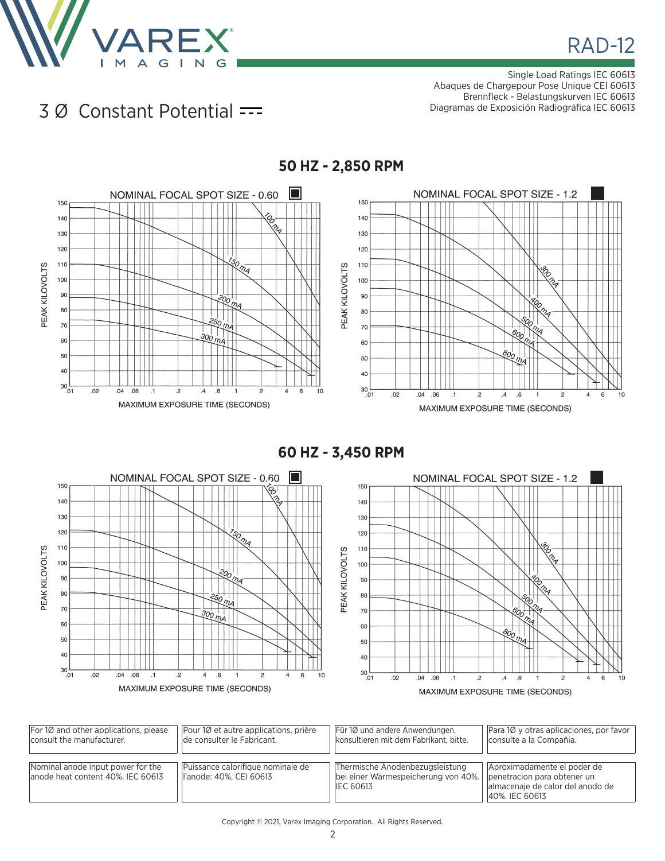

Single Load Ratings IEC 60613 Abaques de Chargepour Pose Unique CEI 60613 Brennfleck - Belastungskurven IEC 60613 Diagramas de Exposición Radiográfica IEC 60613

## 3 Ø Constant Potential



**60 HZ - 3,450 RPM**



| $ For 1Ø$ and other applications, please                                | Pour 10 et autre applications, prière                         | Für 10 und andere Anwendungen,                                                             | Para 10 y otras aplicaciones, por favor                                                                          |
|-------------------------------------------------------------------------|---------------------------------------------------------------|--------------------------------------------------------------------------------------------|------------------------------------------------------------------------------------------------------------------|
| consult the manufacturer.                                               | de consulter le Fabricant.                                    | konsultieren mit dem Fabrikant, bitte.                                                     | consulte a la Compañia.                                                                                          |
| Nominal anode input power for the<br>lanode heat content 40%. IEC 60613 | Puissance calorifique nominale de<br>ll'anode: 40%, CEI 60613 | Thermische Anodenbezugsleistung<br>bei einer Wärmespeicherung von 40%.<br><b>IEC 60613</b> | Aproximadamente el poder de<br>penetracion para obtener un<br>almacenaje de calor del anodo de<br>40%, IEC 60613 |

## Copyright © 2021, Varex Imaging Corporation. All Rights Reserved.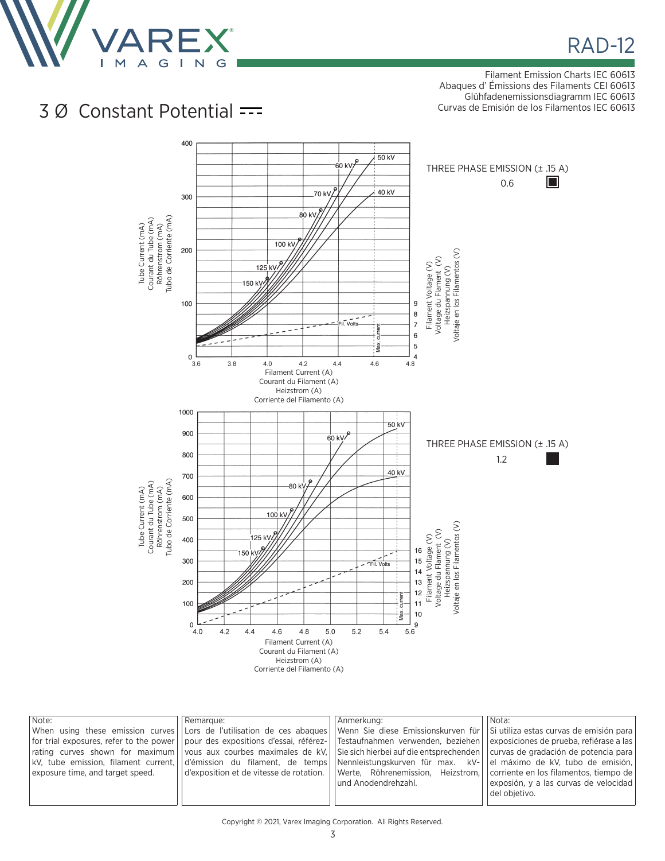

Filament Emission Charts IEC 60613 Abaques d' Émissions des Filaments CEI 60613 Glühfadenemissionsdiagramm IEC 60613 Curvas de Emisión de los Filamentos IEC 60613

## 3 Ø Constant Potential



| Note:<br>exposure time, and target speed. | Remarque: | Anmerkung:<br>When using these emission curves LLors de l'utilisation de ces abagues Venn Sie diese Emissionskurven für Si utiliza estas curvas de emisión para<br> for trial exposures, refer to the power  pour des expositions d'essai, référez-  Testaufnahmen verwenden, beziehen <br>rating curves shown for maximum vous aux courbes maximales de kV. Sie sich hierbei auf die entsprechenden curvas de gradación de potencia para<br>kV, tube emission, filament current,  d'émission du filament, de temps  Nennleistungskurven für max. kV-  <br>$\vert$ d'exposition et de vitesse de rotation. $\vert\,\vert$ Werte, Röhrenemission, Heizstrom, $\vert\,\vert$ corriente en los filamentos, tiempo de $\vert\,\vert$ | Nota:<br>exposiciones de prueba, refiérase a las<br>el máximo de kV, tubo de emisión, |
|-------------------------------------------|-----------|----------------------------------------------------------------------------------------------------------------------------------------------------------------------------------------------------------------------------------------------------------------------------------------------------------------------------------------------------------------------------------------------------------------------------------------------------------------------------------------------------------------------------------------------------------------------------------------------------------------------------------------------------------------------------------------------------------------------------------|---------------------------------------------------------------------------------------|
|                                           |           | lund Anodendrehzahl.                                                                                                                                                                                                                                                                                                                                                                                                                                                                                                                                                                                                                                                                                                             | exposión, y a las curvas de velocidad  <br>del obietivo.                              |